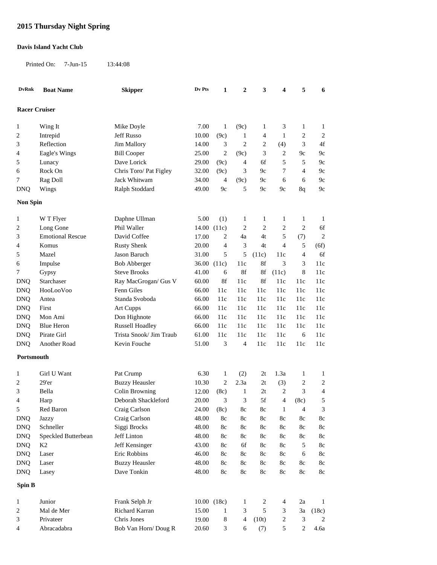## **2015 Thursday Night Spring**

## **Davis Island Yacht Club**

Printed On: 7-Jun-15 13:44:08

| <b>DvRnk</b>         | <b>Boat Name</b>        | <b>Skipper</b>          | Dv Pts | 1              | $\boldsymbol{2}$ | 3                       | 4                | 5              | 6              |
|----------------------|-------------------------|-------------------------|--------|----------------|------------------|-------------------------|------------------|----------------|----------------|
| <b>Racer Cruiser</b> |                         |                         |        |                |                  |                         |                  |                |                |
|                      |                         |                         |        |                |                  |                         |                  |                |                |
| 1                    | Wing It                 | Mike Doyle              | 7.00   | $\mathbf{1}$   | (9c)             | 1                       | 3                | 1              | 1              |
| 2                    | Intrepid                | Jeff Russo              | 10.00  | (9c)           | $\mathbf{1}$     | 4                       | 1                | $\overline{c}$ | $\overline{c}$ |
| 3                    | Reflection              | Jim Mallory             | 14.00  | 3              | 2                | 2                       | (4)              | 3              | 4f             |
| 4                    | Eagle's Wings           | <b>Bill Cooper</b>      | 25.00  | $\overline{c}$ | (9c)             | 3                       | $\overline{c}$   | 9c             | 9c             |
| 5                    | Lunacy                  | Dave Lorick             | 29.00  | (9c)           | 4                | 6f                      | 5                | 5              | 9c             |
| 6                    | Rock On                 | Chris Toro/ Pat Figley  | 32.00  | (9c)           | 3                | 9c                      | 7                | 4              | 9c             |
| 7                    | Rag Doll                | Jack Whitwam            | 34.00  | 4              | (9c)             | 9c                      | 6                | 6              | 9c             |
| <b>DNQ</b>           | Wings                   | Ralph Stoddard          | 49.00  | 9c             | 5                | 9c                      | 9c               | 8q             | 9c             |
| <b>Non Spin</b>      |                         |                         |        |                |                  |                         |                  |                |                |
| 1                    | W T Flyer               | Daphne Ullman           | 5.00   | (1)            | 1                | 1                       | 1                | 1              | $\mathbf{1}$   |
| 2                    | Long Gone               | Phil Waller             |        | 14.00 (11c)    | 2                | 2                       | 2                | $\overline{c}$ | 6f             |
| 3                    | <b>Emotional Rescue</b> | David Coffee            | 17.00  | 2              | 4a               | 4t                      | 5                | (7)            | $\mathbf{2}$   |
| 4                    | Komus                   | <b>Rusty Shenk</b>      | 20.00  | $\overline{4}$ | 3                | 4t                      | 4                | 5              | (6f)           |
| 5                    | Mazel                   | Jason Baruch            | 31.00  | 5              | 5                | (11c)                   | 11c              | 4              | 6f             |
| 6                    | Impulse                 | <b>Bob Abberger</b>     |        | 36.00 (11c)    | 11c              | 8f                      | 3                | 3              | 11c            |
| 7                    | Gypsy                   | <b>Steve Brooks</b>     | 41.00  | 6              | 8f               | 8f                      | (11c)            | 8              | 11c            |
| <b>DNQ</b>           | Starchaser              | Ray MacGrogan/ Gus V    | 60.00  | 8f             | 11c              | 8f                      | 11c              | 11c            | 11c            |
| <b>DNQ</b>           | HooLooVoo               | Fenn Giles              | 66.00  | 11c            | 11c              | 11c                     | 11c              | 11c            | 11c            |
| <b>DNQ</b>           | Antea                   | Standa Svoboda          | 66.00  | 11c            | 11c              | 11c                     | 11c              | 11c            | 11c            |
| <b>DNQ</b>           | First                   | Art Cupps               | 66.00  | 11c            | 11c              | 11c                     | 11c              | 11c            | 11c            |
| <b>DNQ</b>           | Mon Ami                 | Don Highnote            | 66.00  | 11c            | 11c              | 11c                     | 11c              | 11c            | 11c            |
| <b>DNQ</b>           | <b>Blue Heron</b>       | <b>Russell Hoadley</b>  | 66.00  | 11c            | 11c              | 11c                     | 11c              | 11c            | 11c            |
| <b>DNQ</b>           | Pirate Girl             | Trista Snook/ Jim Traub | 61.00  | 11c            | 11c              | 11c                     | 11c              | 6              | 11c            |
| <b>DNQ</b>           | Another Road            | Kevin Fouche            | 51.00  | 3              | 4                | 11c                     | 11c              | 11c            | 11c            |
| Portsmouth           |                         |                         |        |                |                  |                         |                  |                |                |
| 1                    | Girl U Want             | Pat Crump               | 6.30   | 1              | (2)              | 2t                      | 1.3a             | 1              | 1              |
| 2                    | 29'er                   | <b>Buzzy Heausler</b>   | 10.30  | $\overline{c}$ | 2.3a             | 2t                      | (3)              | 2              | $\overline{c}$ |
| 3                    | Bella                   | Colin Browning          | 12.00  | (8c)           | $\mathbf{1}$     | 2t                      | $\overline{c}$   | 3              | 4              |
| 4                    | Harp                    | Deborah Shackleford     | 20.00  | 3              | 3                | 5f                      | 4                | (8c)           | 5              |
| 5                    | Red Baron               | Craig Carlson           | 24.00  | (8c)           | 8c               | $8\mathrm{c}$           | 1                | 4              | 3              |
| <b>DNQ</b>           | Jazzy                   | Craig Carlson           | 48.00  | 8c             | 8c               | $8\mathrm{c}$           | $8\mathrm{c}$    | $8\mathrm{c}$  | $8\mathrm{c}$  |
| <b>DNQ</b>           | Schneller               | Siggi Brocks            | 48.00  | 8c             | 8c               | 8c                      | $8\mathrm{c}$    | $8\mathrm{c}$  | $8\mathrm{c}$  |
| <b>DNQ</b>           | Speckled Butterbean     | Jeff Linton             | 48.00  | 8c             | 8c               | 8c                      | $8\mathrm{c}$    | $8\mathrm{c}$  | $8\mathrm{c}$  |
| <b>DNQ</b>           | K2                      | Jeff Kensinger          | 43.00  | 8c             | 6f               | 8c                      | $8\mathrm{c}$    | 5              | $8\mathrm{c}$  |
| <b>DNQ</b>           | Laser                   | Eric Robbins            | 46.00  | 8c             | 8c               | 8c                      | $8\mathrm{c}$    | 6              | $8\mathrm{c}$  |
| <b>DNQ</b>           | Laser                   | <b>Buzzy Heausler</b>   | 48.00  | $8\mathrm{c}$  | $8\mathrm{c}$    | $8\mathrm{c}$           | $8\mathrm{c}$    | $8\mathrm{c}$  | $8\mathrm{c}$  |
| <b>DNQ</b>           | Lasey                   | Dave Tonkin             | 48.00  | $8\mathrm{c}$  | $8\mathrm{c}$    | $8\mathrm{c}$           | $8\mathrm{c}$    | $8\mathrm{c}$  | $8\mathrm{c}$  |
| Spin B               |                         |                         |        |                |                  |                         |                  |                |                |
| $\mathbf{1}$         | Junior                  | Frank Selph Jr          |        | 10.00 (18c)    | $\mathbf{1}$     | $\overline{\mathbf{c}}$ | 4                | 2a             | $\mathbf{1}$   |
| $\overline{c}$       | Mal de Mer              | Richard Karran          | 15.00  | $\mathbf{1}$   | 3                | 5                       | 3                | 3a             | (18c)          |
| 3                    | Privateer               | Chris Jones             | 19.00  | 8              | 4                | (10t)                   | $\boldsymbol{2}$ | $\sqrt{3}$     | $\overline{c}$ |
| 4                    | Abracadabra             | Bob Van Horn/Doug R     | 20.60  | $\mathfrak{Z}$ | 6                | (7)                     | $\sqrt{5}$       | $\overline{c}$ | $4.6a$         |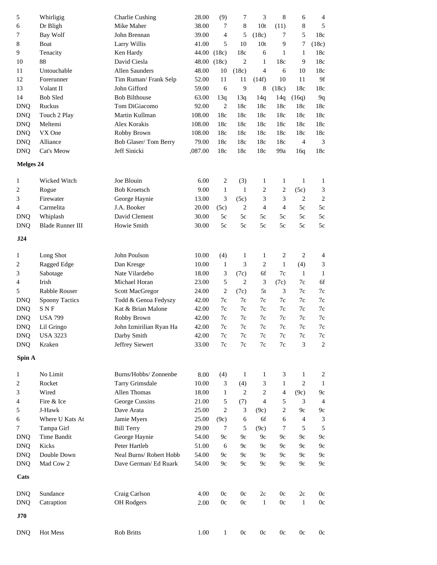| 5          | Whirligig               | <b>Charlie Cushing</b>  | 28.00       | (9)              | 7              | 3                | $\,8\,$        | 6              | 4                       |
|------------|-------------------------|-------------------------|-------------|------------------|----------------|------------------|----------------|----------------|-------------------------|
| 6          | Dr Bligh                | Mike Maher              | 38.00       | 7                | 8              | 10t              | (11)           | 8              | 5                       |
| 7          | <b>Bay Wolf</b>         | John Brennan            | 39.00       | 4                | 5              | (18c)            | 7              | 5              | 18c                     |
| 8          | Boat                    | Larry Willis            | 41.00       | 5                | 10             | 10 <sub>t</sub>  | 9              | 7              | (18c)                   |
| 9          | Tenacity                | Ken Hardy               | 44.00 (18c) |                  | 18c            | 6                | 1              | $\mathbf{1}$   | 18c                     |
| 10         | 88                      | David Ciesla            | 48.00 (18c) |                  | $\overline{2}$ | $\mathbf{1}$     | 18c            | 9              | 18c                     |
| 11         | Untouchable             | <b>Allen Saunders</b>   | 48.00       | 10               | (18c)          | $\overline{4}$   | 6              | 10             | 18c                     |
| 12         | Forerunner              | Tim Ruman/Frank Selp    | 52.00       | 11               | 11             | (14f)            | 10             | 11             | 9f                      |
| 13         | Volant II               | John Gifford            | 59.00       | 6                | 9              | 8                | (18c)          | 18c            | 18c                     |
| 14         | <b>Bob Sled</b>         | <b>Bob Bilthouse</b>    | 63.00       | 13q              | 13q            | 14q              | 14q            | (16q)          | 9q                      |
| <b>DNQ</b> | Ruckus                  | Tom DiGiacomo           | 92.00       | $\overline{2}$   | 18c            | 18c              | 18c            | 18c            | 18c                     |
| <b>DNQ</b> | Touch 2 Play            | Martin Kullman          | 108.00      | 18c              | 18c            | 18c              | 18c            | 18c            | 18c                     |
| <b>DNQ</b> | Meltemi                 | Alex Korakis            | 108.00      | 18c              | 18c            | 18c              | 18c            | 18c            | 18c                     |
| <b>DNQ</b> | VX One                  | Robby Brown             | 108.00      | 18c              | 18c            | 18c              | 18c            | 18c            | 18c                     |
| <b>DNQ</b> | Alliance                | Bob Glaser/Tom Berry    | 79.00       | 18c              | 18c            | 18c              | 18c            | 4              | 3                       |
| <b>DNQ</b> | Cat's Meow              | Jeff Sinicki            | ,087.00     | 18c              | 18c            | 18c              | 99a            | 16q            | 18c                     |
|            |                         |                         |             |                  |                |                  |                |                |                         |
| Melges 24  |                         |                         |             |                  |                |                  |                |                |                         |
| 1          | Wicked Witch            | Joe Blouin              | 6.00        | $\overline{c}$   | (3)            | 1                | 1              | 1              | 1                       |
| 2          | Rogue                   | <b>Bob Kroetsch</b>     | 9.00        | $\mathbf{1}$     | $\mathbf{1}$   | 2                | $\sqrt{2}$     | (5c)           | 3                       |
| 3          | Firewater               | George Haynie           | 13.00       | 3                | (5c)           | 3                | 3              | $\overline{c}$ | $\overline{2}$          |
| 4          | Carmelita               | J.A. Booker             | 20.00       | (5c)             | $\overline{c}$ | $\overline{4}$   | $\overline{4}$ | 5c             | 5c                      |
| <b>DNQ</b> | Whiplash                | David Clement           | 30.00       | 5c               | 5c             | 5c               | 5c             | 5c             | 5c                      |
| <b>DNQ</b> | <b>Blade Runner III</b> | Howie Smith             | 30.00       | 5c               | 5c             | 5c               | 5c             | 5c             | 5c                      |
| J24        |                         |                         |             |                  |                |                  |                |                |                         |
|            |                         |                         |             |                  |                |                  |                |                |                         |
| 1          | Long Shot               | John Poulson            | 10.00       | (4)              | $\mathbf{1}$   | $\mathbf{1}$     | $\sqrt{2}$     | $\overline{c}$ | $\overline{4}$          |
| 2          | Ragged Edge             | Dan Kresge              | 10.00       | $\mathbf{1}$     | 3              | $\sqrt{2}$       | $\,1\,$        | (4)            | $\mathfrak{Z}$          |
| 3          | Sabotage                | Nate Vilardebo          | 18.00       | 3                | (7c)           | 6f               | 7c             | $\mathbf{1}$   | $\mathbf{1}$            |
| 4          | Irish                   | Michael Horan           | 23.00       | 5                | $\overline{2}$ | 3                | (7c)           | 7c             | 6f                      |
| 5          | Rabble Rouser           | Scott MacGregor         | 24.00       | $\overline{c}$   | (7c)           | 5t               | 3              | 7c             | $7\mathrm{c}$           |
| <b>DNQ</b> | Spoony Tactics          | Todd & Genoa Fedyszy    | 42.00       | 7c               | 7c             | 7c               | 7c             | 7c             | $7\mathrm{c}$           |
| <b>DNQ</b> | <b>SNF</b>              | Kat & Brian Malone      | 42.00       | 7c               | 7c             | 7c               | 7c             | 7c             | $7\mathrm{c}$           |
| <b>DNQ</b> | <b>USA 799</b>          | Robby Brown             | 42.00       | 7c               | 7c             | 7c               | 7c             | 7c             | 7c                      |
| <b>DNQ</b> | Lil Gringo              | John Izmirilian Ryan Ha | 42.00       | 7c               | $7\mathrm{c}$  | $7\mathrm{c}$    | $7c$           | 7c             | $7\mathrm{c}$           |
| <b>DNQ</b> | <b>USA 3223</b>         | Darby Smith             | 42.00       | $7\mathrm{c}$    | $7\mathrm{c}$  | $7\mathrm{c}$    | $7\mathrm{c}$  | $7\mathrm{c}$  | $7\mathrm{c}$           |
| <b>DNQ</b> | Kraken                  | Jeffrey Siewert         | 33.00       | 7c               | 7c             | 7c               | $7\mathrm{c}$  | $\mathfrak{Z}$ | $\sqrt{2}$              |
| Spin A     |                         |                         |             |                  |                |                  |                |                |                         |
|            |                         |                         |             |                  |                |                  |                |                |                         |
| 1          | No Limit                | Burns/Hobbs/ Zonnenbe   | 8.00        | (4)              | 1              | 1                | 3              | 1              | $\overline{\mathbf{c}}$ |
| 2          | Rocket                  | <b>Tarry Grimsdale</b>  | 10.00       | 3                | (4)            | 3                | $\mathbf{1}$   | $\overline{c}$ | $\mathbf{1}$            |
| 3          | Wired                   | Allen Thomas            | 18.00       | $\mathbf{1}$     | $\overline{c}$ | $\boldsymbol{2}$ | $\overline{4}$ | (9c)           | 9c                      |
| 4          | Fire & Ice              | George Cussins          | 21.00       | 5                | (7)            | 4                | 5              | 3              | $\overline{4}$          |
| 5          | J-Hawk                  | Dave Arata              | 25.00       | $\boldsymbol{2}$ | 3              | (9c)             | $\overline{c}$ | 9c             | 9c                      |
| 6          | Where U Kats At         | Jamie Myers             | 25.00       | (9c)             | 6              | 6f               | 6              | 4              | 3                       |
| 7          | Tampa Girl              | <b>Bill Terry</b>       | 29.00       | $\tau$           | 5              | (9c)             | $\tau$         | 5              | $\mathfrak s$           |
| <b>DNQ</b> | Time Bandit             | George Haynie           | 54.00       | 9c               | 9c             | 9c               | 9c             | 9c             | 9c                      |
| <b>DNQ</b> | Kicks                   | Peter Hartleb           | 51.00       | 6                | 9c             | 9c               | 9c             | 9c             | 9c                      |
| <b>DNQ</b> | Double Down             | Neal Burns/Robert Hobb  | 54.00       | 9c               | 9c             | 9c               | 9c             | 9c             | 9c                      |
| <b>DNQ</b> | Mad Cow 2               | Dave German/ Ed Ruark   | 54.00       | 9c               | 9c             | 9c               | 9c             | 9c             | 9c                      |
| Cats       |                         |                         |             |                  |                |                  |                |                |                         |
|            |                         |                         |             |                  |                |                  |                |                |                         |
| <b>DNQ</b> | Sundance                | Craig Carlson           | 4.00        | 0c               | 0c             | 2c               | 0c             | 2c             | 0c                      |
| <b>DNQ</b> | Catraption              | OH Rodgers              | 2.00        | 0c               | 0c             | $\mathbf{1}$     | 0 <sub>c</sub> | $\mathbf{1}$   | 0c                      |
| J70        |                         |                         |             |                  |                |                  |                |                |                         |
| <b>DNQ</b> | Hot Mess                | Rob Britts              | 1.00        | $\mathbf{1}$     | 0c             | 0c               | 0c             | 0c             | 0c                      |
|            |                         |                         |             |                  |                |                  |                |                |                         |